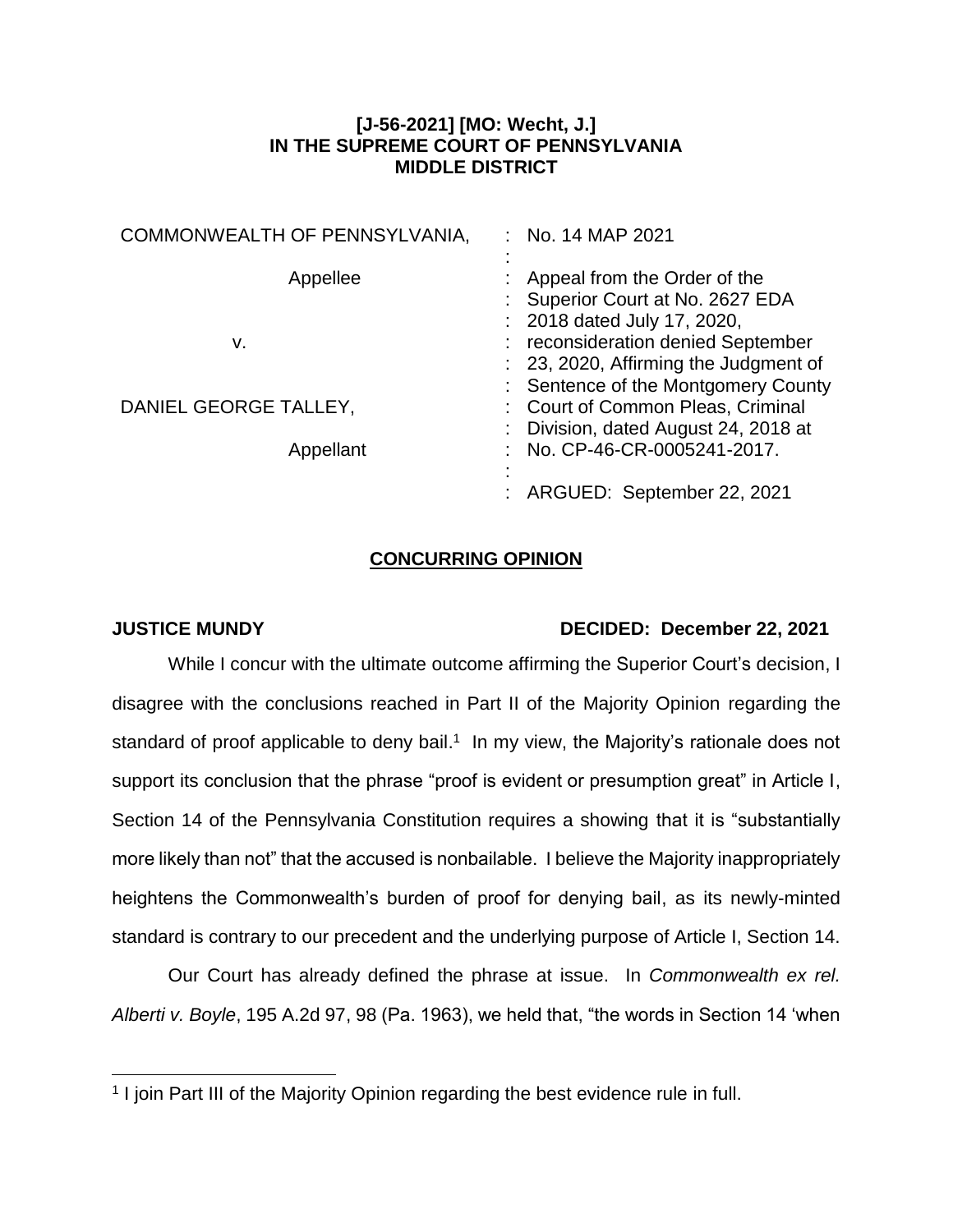## **[J-56-2021] [MO: Wecht, J.] IN THE SUPREME COURT OF PENNSYLVANIA MIDDLE DISTRICT**

| COMMONWEALTH OF PENNSYLVANIA, | No. 14 MAP 2021                       |
|-------------------------------|---------------------------------------|
|                               |                                       |
| Appellee                      | Appeal from the Order of the          |
|                               | Superior Court at No. 2627 EDA        |
|                               | : 2018 dated July 17, 2020,           |
| v.                            | reconsideration denied September      |
|                               | : 23, 2020, Affirming the Judgment of |
|                               | : Sentence of the Montgomery County   |
| DANIEL GEORGE TALLEY,         | : Court of Common Pleas, Criminal     |
|                               | Division, dated August 24, 2018 at    |
| Appellant                     | No. CP-46-CR-0005241-2017.            |
|                               |                                       |
|                               | ARGUED: September 22, 2021            |
|                               |                                       |

## **CONCURRING OPINION**

 $\overline{a}$ 

## **JUSTICE MUNDY DECIDED: December 22, 2021**

While I concur with the ultimate outcome affirming the Superior Court's decision, I disagree with the conclusions reached in Part II of the Majority Opinion regarding the standard of proof applicable to deny bail.<sup>1</sup> In my view, the Majority's rationale does not support its conclusion that the phrase "proof is evident or presumption great" in Article I, Section 14 of the Pennsylvania Constitution requires a showing that it is "substantially more likely than not" that the accused is nonbailable. I believe the Majority inappropriately heightens the Commonwealth's burden of proof for denying bail, as its newly-minted standard is contrary to our precedent and the underlying purpose of Article I, Section 14.

Our Court has already defined the phrase at issue. In *Commonwealth ex rel. Alberti v. Boyle*, 195 A.2d 97, 98 (Pa. 1963), we held that, "the words in Section 14 'when

<sup>&</sup>lt;sup>1</sup> I join Part III of the Majority Opinion regarding the best evidence rule in full.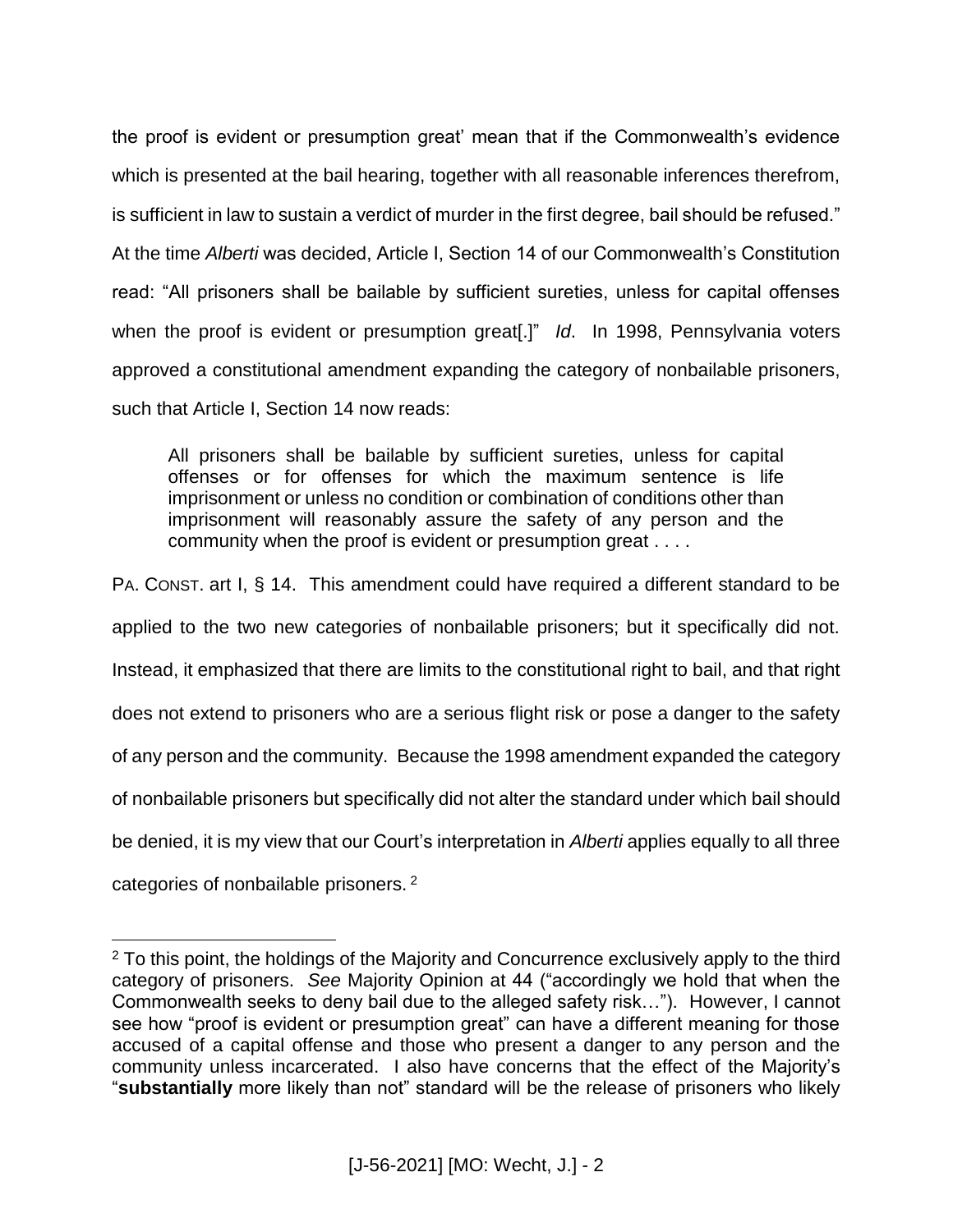the proof is evident or presumption great' mean that if the Commonwealth's evidence which is presented at the bail hearing, together with all reasonable inferences therefrom, is sufficient in law to sustain a verdict of murder in the first degree, bail should be refused." At the time *Alberti* was decided, Article I, Section 14 of our Commonwealth's Constitution read: "All prisoners shall be bailable by sufficient sureties, unless for capital offenses when the proof is evident or presumption great[.]" *Id*. In 1998, Pennsylvania voters approved a constitutional amendment expanding the category of nonbailable prisoners, such that Article I, Section 14 now reads:

All prisoners shall be bailable by sufficient sureties, unless for capital offenses or for offenses for which the maximum sentence is life imprisonment or unless no condition or combination of conditions other than imprisonment will reasonably assure the safety of any person and the community when the proof is evident or presumption great . . . .

PA. CONST. art I, § 14. This amendment could have required a different standard to be applied to the two new categories of nonbailable prisoners; but it specifically did not. Instead, it emphasized that there are limits to the constitutional right to bail, and that right does not extend to prisoners who are a serious flight risk or pose a danger to the safety of any person and the community. Because the 1998 amendment expanded the category of nonbailable prisoners but specifically did not alter the standard under which bail should be denied, it is my view that our Court's interpretation in *Alberti* applies equally to all three

categories of nonbailable prisoners.<sup>2</sup>

 $\overline{a}$ 

<sup>&</sup>lt;sup>2</sup> To this point, the holdings of the Majority and Concurrence exclusively apply to the third category of prisoners. *See* Majority Opinion at 44 ("accordingly we hold that when the Commonwealth seeks to deny bail due to the alleged safety risk…"). However, I cannot see how "proof is evident or presumption great" can have a different meaning for those accused of a capital offense and those who present a danger to any person and the community unless incarcerated. I also have concerns that the effect of the Majority's "**substantially** more likely than not" standard will be the release of prisoners who likely